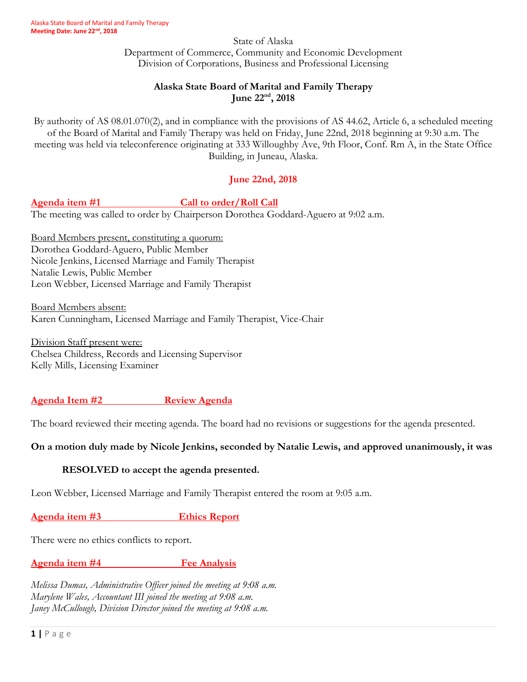State of Alaska Department of Commerce, Community and Economic Development Division of Corporations, Business and Professional Licensing

# **Alaska State Board of Marital and Family Therapy June 22nd, 2018**

By authority of AS 08.01.070(2), and in compliance with the provisions of AS 44.62, Article 6, a scheduled meeting of the Board of Marital and Family Therapy was held on Friday, June 22nd, 2018 beginning at 9:30 a.m. The meeting was held via teleconference originating at 333 Willoughby Ave, 9th Floor, Conf. Rm A, in the State Office Building, in Juneau, Alaska.

# **June 22nd, 2018**

Agenda item #1 **Call to order/Roll Call** 

The meeting was called to order by Chairperson Dorothea Goddard-Aguero at 9:02 a.m.

Board Members present, constituting a quorum: Dorothea Goddard-Aguero, Public Member Nicole Jenkins, Licensed Marriage and Family Therapist Natalie Lewis, Public Member Leon Webber, Licensed Marriage and Family Therapist

Board Members absent: Karen Cunningham, Licensed Marriage and Family Therapist, Vice-Chair

Division Staff present were: Chelsea Childress, Records and Licensing Supervisor Kelly Mills, Licensing Examiner

# **Agenda Item #2 Review Agenda**

The board reviewed their meeting agenda. The board had no revisions or suggestions for the agenda presented.

# **On a motion duly made by Nicole Jenkins, seconded by Natalie Lewis, and approved unanimously, it was**

# **RESOLVED to accept the agenda presented.**

Leon Webber, Licensed Marriage and Family Therapist entered the room at 9:05 a.m.

**Agenda item #3 Ethics Report**

There were no ethics conflicts to report.

# **Agenda item #4** Fee Analysis

*Melissa Dumas, Administrative Officer joined the meeting at 9:08 a.m. Marylene Wales, Accountant III joined the meeting at 9:08 a.m. Janey McCullough, Division Director joined the meeting at 9:08 a.m.*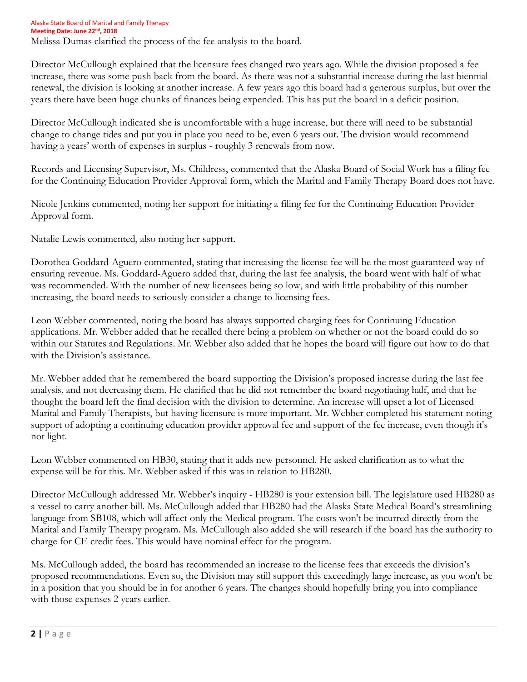Alaska State Board of Marital and Family Therapy **Meeting Date: June 22nd , 2018** Melissa Dumas clarified the process of the fee analysis to the board.

Director McCullough explained that the licensure fees changed two years ago. While the division proposed a fee increase, there was some push back from the board. As there was not a substantial increase during the last biennial renewal, the division is looking at another increase. A few years ago this board had a generous surplus, but over the years there have been huge chunks of finances being expended. This has put the board in a deficit position.

Director McCullough indicated she is uncomfortable with a huge increase, but there will need to be substantial change to change tides and put you in place you need to be, even 6 years out. The division would recommend having a years' worth of expenses in surplus - roughly 3 renewals from now.

Records and Licensing Supervisor, Ms. Childress, commented that the Alaska Board of Social Work has a filing fee for the Continuing Education Provider Approval form, which the Marital and Family Therapy Board does not have.

Nicole Jenkins commented, noting her support for initiating a filing fee for the Continuing Education Provider Approval form.

Natalie Lewis commented, also noting her support.

Dorothea Goddard-Aguero commented, stating that increasing the license fee will be the most guaranteed way of ensuring revenue. Ms. Goddard-Aguero added that, during the last fee analysis, the board went with half of what was recommended. With the number of new licensees being so low, and with little probability of this number increasing, the board needs to seriously consider a change to licensing fees.

Leon Webber commented, noting the board has always supported charging fees for Continuing Education applications. Mr. Webber added that he recalled there being a problem on whether or not the board could do so within our Statutes and Regulations. Mr. Webber also added that he hopes the board will figure out how to do that with the Division's assistance.

Mr. Webber added that he remembered the board supporting the Division's proposed increase during the last fee analysis, and not decreasing them. He clarified that he did not remember the board negotiating half, and that he thought the board left the final decision with the division to determine. An increase will upset a lot of Licensed Marital and Family Therapists, but having licensure is more important. Mr. Webber completed his statement noting support of adopting a continuing education provider approval fee and support of the fee increase, even though it's not light.

Leon Webber commented on HB30, stating that it adds new personnel. He asked clarification as to what the expense will be for this. Mr. Webber asked if this was in relation to HB280.

Director McCullough addressed Mr. Webber's inquiry - HB280 is your extension bill. The legislature used HB280 as a vessel to carry another bill. Ms. McCullough added that HB280 had the Alaska State Medical Board's streamlining language from SB108, which will affect only the Medical program. The costs won't be incurred directly from the Marital and Family Therapy program. Ms. McCullough also added she will research if the board has the authority to charge for CE credit fees. This would have nominal effect for the program.

Ms. McCullough added, the board has recommended an increase to the license fees that exceeds the division's proposed recommendations. Even so, the Division may still support this exceedingly large increase, as you won't be in a position that you should be in for another 6 years. The changes should hopefully bring you into compliance with those expenses 2 years earlier.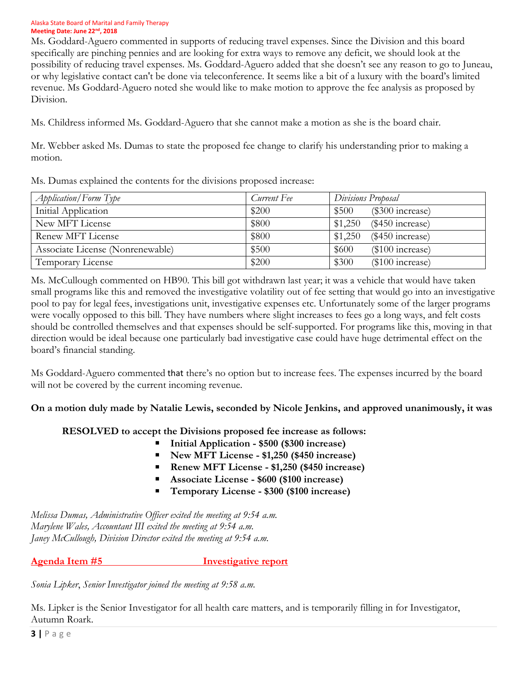#### Alaska State Board of Marital and Family Therapy **Meeting Date: June 22nd , 2018**

Ms. Goddard-Aguero commented in supports of reducing travel expenses. Since the Division and this board specifically are pinching pennies and are looking for extra ways to remove any deficit, we should look at the possibility of reducing travel expenses. Ms. Goddard-Aguero added that she doesn't see any reason to go to Juneau, or why legislative contact can't be done via teleconference. It seems like a bit of a luxury with the board's limited revenue. Ms Goddard-Aguero noted she would like to make motion to approve the fee analysis as proposed by Division.

Ms. Childress informed Ms. Goddard-Aguero that she cannot make a motion as she is the board chair.

Mr. Webber asked Ms. Dumas to state the proposed fee change to clarify his understanding prior to making a motion.

|  |  |  |  |  |  | Ms. Dumas explained the contents for the divisions proposed increase: |  |
|--|--|--|--|--|--|-----------------------------------------------------------------------|--|
|--|--|--|--|--|--|-----------------------------------------------------------------------|--|

| <i>Application</i> /Form Type    | Current Fee | Divisions Proposal            |
|----------------------------------|-------------|-------------------------------|
| Initial Application              | \$200       | $(\$300$ increase)<br>\$500   |
| New MFT License                  | \$800       | \$1,250<br>$(\$450$ increase) |
| Renew MFT License                | \$800       | \$1,250<br>$(\$450$ increase) |
| Associate License (Nonrenewable) | \$500       | \$600<br>$(\$100$ increase)   |
| Temporary License                | \$200       | \$300<br>$(\$100$ increase)   |

Ms. McCullough commented on HB90. This bill got withdrawn last year; it was a vehicle that would have taken small programs like this and removed the investigative volatility out of fee setting that would go into an investigative pool to pay for legal fees, investigations unit, investigative expenses etc. Unfortunately some of the larger programs were vocally opposed to this bill. They have numbers where slight increases to fees go a long ways, and felt costs should be controlled themselves and that expenses should be self-supported. For programs like this, moving in that direction would be ideal because one particularly bad investigative case could have huge detrimental effect on the board's financial standing.

Ms Goddard-Aguero commented that there's no option but to increase fees. The expenses incurred by the board will not be covered by the current incoming revenue.

# **On a motion duly made by Natalie Lewis, seconded by Nicole Jenkins, and approved unanimously, it was**

# **RESOLVED to accept the Divisions proposed fee increase as follows:**

- **Initial Application - \$500 (\$300 increase)**
- **New MFT License - \$1,250 (\$450 increase)**
- **Renew MFT License - \$1,250 (\$450 increase)**
- **Associate License - \$600 (\$100 increase)**
- **Temporary License - \$300 (\$100 increase)**

*Melissa Dumas, Administrative Officer exited the meeting at 9:54 a.m. Marylene Wales, Accountant III exited the meeting at 9:54 a.m. Janey McCullough, Division Director exited the meeting at 9:54 a.m.*

**Agenda Item #5 Investigative report**

*Sonia Lipker*, *Senior Investigator joined the meeting at 9:58 a.m.*

Ms. Lipker is the Senior Investigator for all health care matters, and is temporarily filling in for Investigator, Autumn Roark.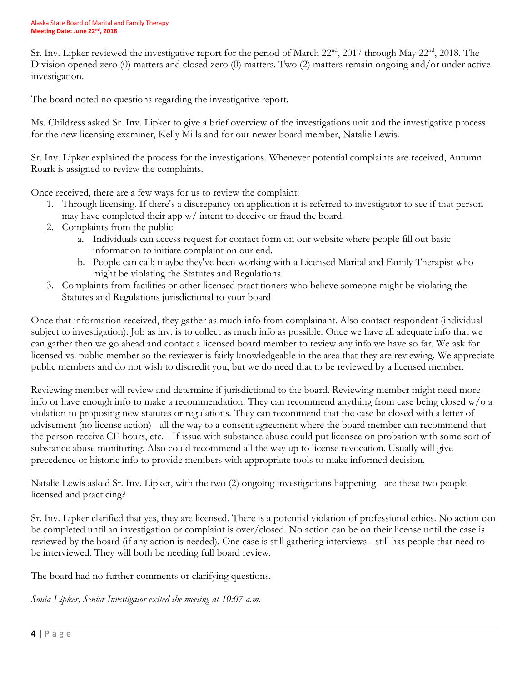Sr. Inv. Lipker reviewed the investigative report for the period of March 22<sup>nd</sup>, 2017 through May 22<sup>nd</sup>, 2018. The Division opened zero (0) matters and closed zero (0) matters. Two (2) matters remain ongoing and/or under active investigation.

The board noted no questions regarding the investigative report.

Ms. Childress asked Sr. Inv. Lipker to give a brief overview of the investigations unit and the investigative process for the new licensing examiner, Kelly Mills and for our newer board member, Natalie Lewis.

Sr. Inv. Lipker explained the process for the investigations. Whenever potential complaints are received, Autumn Roark is assigned to review the complaints.

Once received, there are a few ways for us to review the complaint:

- 1. Through licensing. If there's a discrepancy on application it is referred to investigator to see if that person may have completed their app w/ intent to deceive or fraud the board.
- 2. Complaints from the public
	- a. Individuals can access request for contact form on our website where people fill out basic information to initiate complaint on our end.
	- b. People can call; maybe they've been working with a Licensed Marital and Family Therapist who might be violating the Statutes and Regulations.
- 3. Complaints from facilities or other licensed practitioners who believe someone might be violating the Statutes and Regulations jurisdictional to your board

Once that information received, they gather as much info from complainant. Also contact respondent (individual subject to investigation). Job as inv. is to collect as much info as possible. Once we have all adequate info that we can gather then we go ahead and contact a licensed board member to review any info we have so far. We ask for licensed vs. public member so the reviewer is fairly knowledgeable in the area that they are reviewing. We appreciate public members and do not wish to discredit you, but we do need that to be reviewed by a licensed member.

Reviewing member will review and determine if jurisdictional to the board. Reviewing member might need more info or have enough info to make a recommendation. They can recommend anything from case being closed w/o a violation to proposing new statutes or regulations. They can recommend that the case be closed with a letter of advisement (no license action) - all the way to a consent agreement where the board member can recommend that the person receive CE hours, etc. - If issue with substance abuse could put licensee on probation with some sort of substance abuse monitoring. Also could recommend all the way up to license revocation. Usually will give precedence or historic info to provide members with appropriate tools to make informed decision.

Natalie Lewis asked Sr. Inv. Lipker, with the two (2) ongoing investigations happening - are these two people licensed and practicing?

Sr. Inv. Lipker clarified that yes, they are licensed. There is a potential violation of professional ethics. No action can be completed until an investigation or complaint is over/closed. No action can be on their license until the case is reviewed by the board (if any action is needed). One case is still gathering interviews - still has people that need to be interviewed. They will both be needing full board review.

The board had no further comments or clarifying questions.

*Sonia Lipker, Senior Investigator exited the meeting at 10:07 a.m.*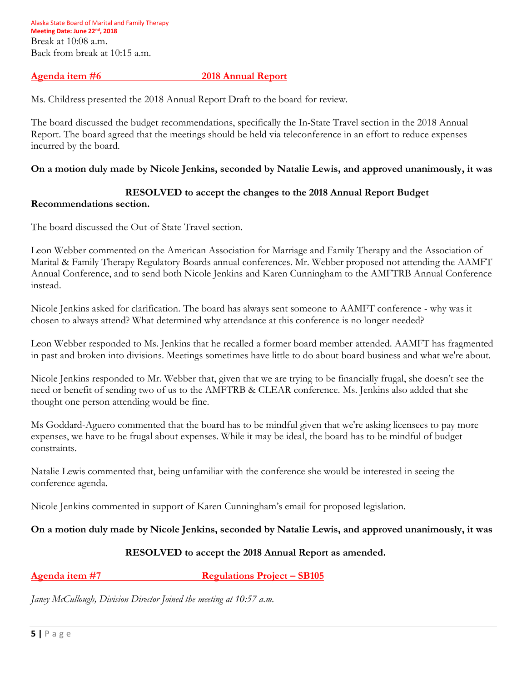Alaska State Board of Marital and Family Therapy **Meeting Date: June 22nd , 2018** Break at 10:08 a.m. Back from break at 10:15 a.m.

#### **Agenda item #6 2018 Annual Report**

Ms. Childress presented the 2018 Annual Report Draft to the board for review.

The board discussed the budget recommendations, specifically the In-State Travel section in the 2018 Annual Report. The board agreed that the meetings should be held via teleconference in an effort to reduce expenses incurred by the board.

#### **On a motion duly made by Nicole Jenkins, seconded by Natalie Lewis, and approved unanimously, it was**

### **RESOLVED to accept the changes to the 2018 Annual Report Budget**

#### **Recommendations section.**

The board discussed the Out-of-State Travel section.

Leon Webber commented on the American Association for Marriage and Family Therapy and the Association of Marital & Family Therapy Regulatory Boards annual conferences. Mr. Webber proposed not attending the AAMFT Annual Conference, and to send both Nicole Jenkins and Karen Cunningham to the AMFTRB Annual Conference instead.

Nicole Jenkins asked for clarification. The board has always sent someone to AAMFT conference - why was it chosen to always attend? What determined why attendance at this conference is no longer needed?

Leon Webber responded to Ms. Jenkins that he recalled a former board member attended. AAMFT has fragmented in past and broken into divisions. Meetings sometimes have little to do about board business and what we're about.

Nicole Jenkins responded to Mr. Webber that, given that we are trying to be financially frugal, she doesn't see the need or benefit of sending two of us to the AMFTRB & CLEAR conference. Ms. Jenkins also added that she thought one person attending would be fine.

Ms Goddard-Aguero commented that the board has to be mindful given that we're asking licensees to pay more expenses, we have to be frugal about expenses. While it may be ideal, the board has to be mindful of budget constraints.

Natalie Lewis commented that, being unfamiliar with the conference she would be interested in seeing the conference agenda.

Nicole Jenkins commented in support of Karen Cunningham's email for proposed legislation.

# **On a motion duly made by Nicole Jenkins, seconded by Natalie Lewis, and approved unanimously, it was**

# **RESOLVED to accept the 2018 Annual Report as amended.**

# **Agenda item #7 Regulations Project – SB105**

*Janey McCullough, Division Director Joined the meeting at 10:57 a.m.*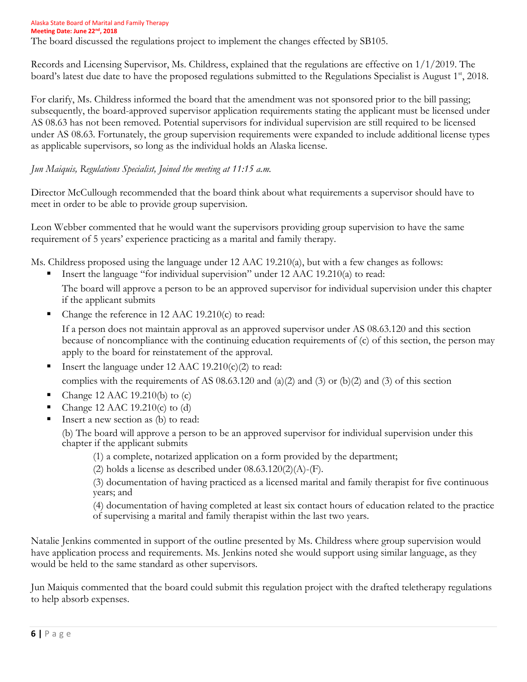Alaska State Board of Marital and Family Therapy **Meeting Date: June 22nd , 2018** The board discussed the regulations project to implement the changes effected by SB105.

Records and Licensing Supervisor, Ms. Childress, explained that the regulations are effective on 1/1/2019. The board's latest due date to have the proposed regulations submitted to the Regulations Specialist is August 1<sup>st</sup>, 2018.

For clarify, Ms. Childress informed the board that the amendment was not sponsored prior to the bill passing; subsequently, the board-approved supervisor application requirements stating the applicant must be licensed under AS 08.63 has not been removed. Potential supervisors for individual supervision are still required to be licensed under AS 08.63. Fortunately, the group supervision requirements were expanded to include additional license types as applicable supervisors, so long as the individual holds an Alaska license.

# *Jun Maiquis, Regulations Specialist, Joined the meeting at 11:15 a.m.*

Director McCullough recommended that the board think about what requirements a supervisor should have to meet in order to be able to provide group supervision.

Leon Webber commented that he would want the supervisors providing group supervision to have the same requirement of 5 years' experience practicing as a marital and family therapy.

Ms. Childress proposed using the language under 12 AAC 19.210(a), but with a few changes as follows:

Insert the language "for individual supervision" under 12 AAC 19.210(a) to read:

The board will approve a person to be an approved supervisor for individual supervision under this chapter if the applicant submits

Change the reference in 12 AAC 19.210(c) to read:

If a person does not maintain approval as an approved supervisor under AS 08.63.120 and this section because of noncompliance with the continuing education requirements of (c) of this section, the person may apply to the board for reinstatement of the approval.

- Insert the language under 12 AAC 19.210 $(c)(2)$  to read: complies with the requirements of AS  $08.63.120$  and  $(a)(2)$  and  $(b)(2)$  and  $(b)(2)$  and  $(c)(3)$  of this section
- Change 12 AAC 19.210(b) to (c)
- Change 12 AAC 19.210(c) to (d)
- Insert a new section as (b) to read:

(b) The board will approve a person to be an approved supervisor for individual supervision under this chapter if the applicant submits

(1) a complete, notarized application on a form provided by the department;

(2) holds a license as described under  $08.63.120(2)(A)$ -(F).

(3) documentation of having practiced as a licensed marital and family therapist for five continuous years; and

(4) documentation of having completed at least six contact hours of education related to the practice of supervising a marital and family therapist within the last two years.

Natalie Jenkins commented in support of the outline presented by Ms. Childress where group supervision would have application process and requirements. Ms. Jenkins noted she would support using similar language, as they would be held to the same standard as other supervisors.

Jun Maiquis commented that the board could submit this regulation project with the drafted teletherapy regulations to help absorb expenses.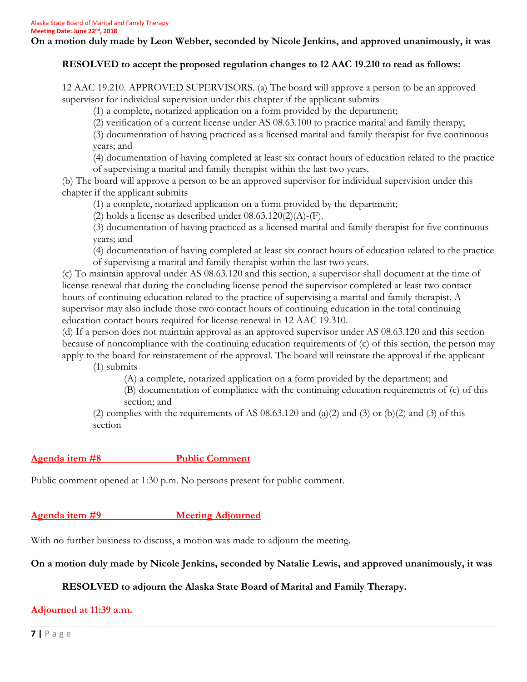**On a motion duly made by Leon Webber, seconded by Nicole Jenkins, and approved unanimously, it was**

### **RESOLVED to accept the proposed regulation changes to 12 AAC 19.210 to read as follows:**

12 AAC 19.210. APPROVED SUPERVISORS. (a) The board will approve a person to be an approved supervisor for individual supervision under this chapter if the applicant submits

(1) a complete, notarized application on a form provided by the department;

(2) verification of a current license under AS 08.63.100 to practice marital and family therapy;

(3) documentation of having practiced as a licensed marital and family therapist for five continuous years; and

(4) documentation of having completed at least six contact hours of education related to the practice of supervising a marital and family therapist within the last two years.

(b) The board will approve a person to be an approved supervisor for individual supervision under this chapter if the applicant submits

(1) a complete, notarized application on a form provided by the department;

(2) holds a license as described under  $08.63.120(2)(A)$ -(F).

(3) documentation of having practiced as a licensed marital and family therapist for five continuous years; and

(4) documentation of having completed at least six contact hours of education related to the practice of supervising a marital and family therapist within the last two years.

(c) To maintain approval under AS 08.63.120 and this section, a supervisor shall document at the time of license renewal that during the concluding license period the supervisor completed at least two contact hours of continuing education related to the practice of supervising a marital and family therapist. A supervisor may also include those two contact hours of continuing education in the total continuing education contact hours required for license renewal in 12 AAC 19.310.

(d) If a person does not maintain approval as an approved supervisor under AS 08.63.120 and this section because of noncompliance with the continuing education requirements of (c) of this section, the person may apply to the board for reinstatement of the approval. The board will reinstate the approval if the applicant (1) submits

(A) a complete, notarized application on a form provided by the department; and

(B) documentation of compliance with the continuing education requirements of (c) of this section; and

(2) complies with the requirements of AS  $08.63.120$  and  $(a)(2)$  and  $(3)$  or  $(b)(2)$  and  $(3)$  of this section

# **Agenda item #8 Public Comment**

Public comment opened at 1:30 p.m. No persons present for public comment.

# **Agenda item #9 Meeting Adjourned**

With no further business to discuss, a motion was made to adjourn the meeting.

# **On a motion duly made by Nicole Jenkins, seconded by Natalie Lewis, and approved unanimously, it was**

# **RESOLVED to adjourn the Alaska State Board of Marital and Family Therapy.**

#### **Adjourned at 11:39 a.m.**